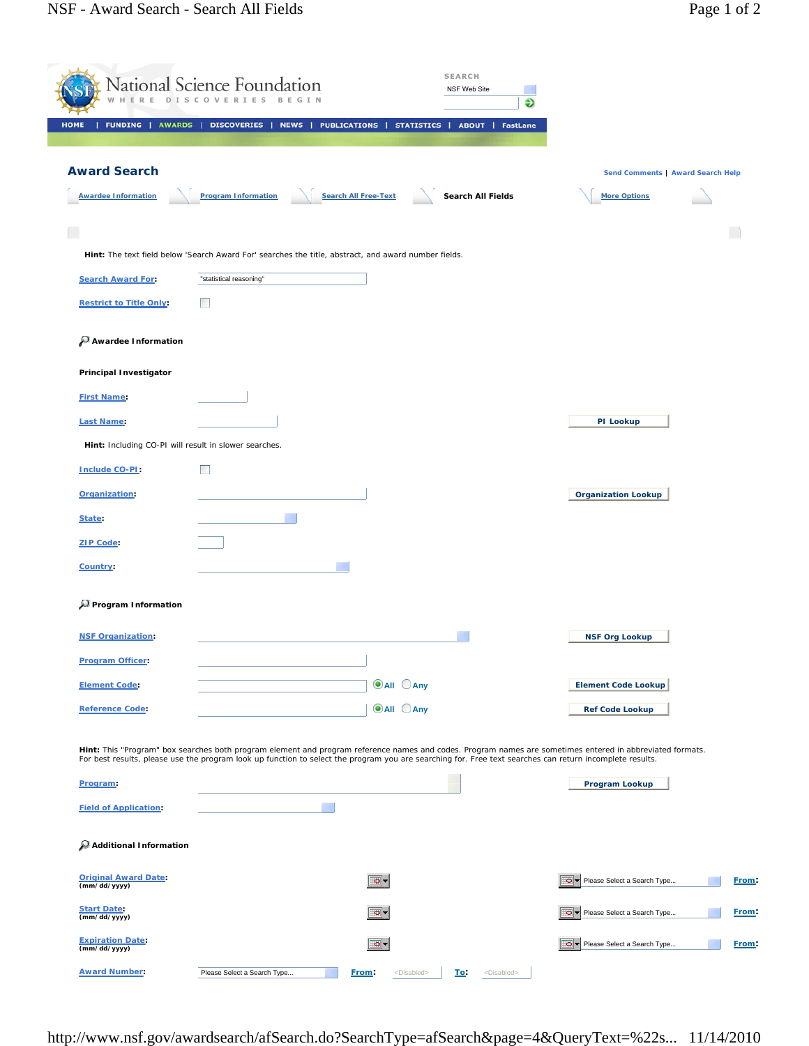|                                                       | National Science Foundation<br>D I S C O |                                                                                                      | <b>SEARCH</b><br>NSF Web Site<br>Ð                                                                                                                       |                                                                                                                                                           |              |
|-------------------------------------------------------|------------------------------------------|------------------------------------------------------------------------------------------------------|----------------------------------------------------------------------------------------------------------------------------------------------------------|-----------------------------------------------------------------------------------------------------------------------------------------------------------|--------------|
| <b>FUNDING   AWARDS  </b><br><b>HOME</b>              | DISCOVERIES                              | NEWS  <br><b>PUBLICATIONS  </b>                                                                      | STATISTICS  <br><b>ABOUT   FastLane</b>                                                                                                                  |                                                                                                                                                           |              |
| <b>Award Search</b>                                   |                                          |                                                                                                      |                                                                                                                                                          | Send Comments   Award Search Help                                                                                                                         |              |
| <b>Awardee Information</b>                            | <b>Program Information</b>               | <b>Search All Free-Text</b>                                                                          | Search All Fields                                                                                                                                        | <b>More Options</b>                                                                                                                                       |              |
|                                                       |                                          |                                                                                                      |                                                                                                                                                          |                                                                                                                                                           |              |
|                                                       |                                          | Hint: The text field below 'Search Award For' searches the title, abstract, and award number fields. |                                                                                                                                                          |                                                                                                                                                           |              |
| <b>Search Award For:</b>                              | "statistical reasoning"                  |                                                                                                      |                                                                                                                                                          |                                                                                                                                                           |              |
| <b>Restrict to Title Only:</b>                        | <b>The State</b>                         |                                                                                                      |                                                                                                                                                          |                                                                                                                                                           |              |
| Awardee Information                                   |                                          |                                                                                                      |                                                                                                                                                          |                                                                                                                                                           |              |
| <b>Principal Investigator</b>                         |                                          |                                                                                                      |                                                                                                                                                          |                                                                                                                                                           |              |
| <b>First Name:</b>                                    |                                          |                                                                                                      |                                                                                                                                                          |                                                                                                                                                           |              |
| <b>Last Name:</b>                                     |                                          |                                                                                                      |                                                                                                                                                          | PI Lookup                                                                                                                                                 |              |
| Hint: Including CO-PI will result in slower searches. |                                          |                                                                                                      |                                                                                                                                                          |                                                                                                                                                           |              |
| Include CO-PI:                                        | <b>The State</b>                         |                                                                                                      |                                                                                                                                                          |                                                                                                                                                           |              |
| Organization:                                         |                                          |                                                                                                      |                                                                                                                                                          | <b>Organization Lookup</b>                                                                                                                                |              |
| State:                                                |                                          |                                                                                                      |                                                                                                                                                          |                                                                                                                                                           |              |
| <b>ZIP Code:</b>                                      |                                          |                                                                                                      |                                                                                                                                                          |                                                                                                                                                           |              |
| Country:                                              |                                          |                                                                                                      |                                                                                                                                                          |                                                                                                                                                           |              |
| Program Information                                   |                                          |                                                                                                      |                                                                                                                                                          |                                                                                                                                                           |              |
| <b>NSF Organization:</b>                              |                                          |                                                                                                      |                                                                                                                                                          | <b>NSF Org Lookup</b>                                                                                                                                     |              |
| <b>Program Officer:</b>                               |                                          |                                                                                                      |                                                                                                                                                          |                                                                                                                                                           |              |
| <b>Element Code:</b>                                  |                                          | <b>O</b> All CAny                                                                                    |                                                                                                                                                          | <b>Element Code Lookup</b>                                                                                                                                |              |
| <b>Reference Code:</b>                                |                                          | <b>O</b> All CAny                                                                                    |                                                                                                                                                          | <b>Ref Code Lookup</b>                                                                                                                                    |              |
|                                                       |                                          |                                                                                                      |                                                                                                                                                          | Hint: This "Program" box searches both program element and program reference names and codes. Program names are sometimes entered in abbreviated formats. |              |
| Program:                                              |                                          |                                                                                                      | For best results, please use the program look up function to select the program you are searching for. Free text searches can return incomplete results. | Program Lookup                                                                                                                                            |              |
| <b>Field of Application:</b>                          |                                          |                                                                                                      |                                                                                                                                                          |                                                                                                                                                           |              |
|                                                       |                                          |                                                                                                      |                                                                                                                                                          |                                                                                                                                                           |              |
| Additional Information                                |                                          |                                                                                                      |                                                                                                                                                          |                                                                                                                                                           |              |
| <b>Original Award Date:</b><br>(mm/dd/yyyy)           |                                          | .o -                                                                                                 |                                                                                                                                                          | Please Select a Search Type                                                                                                                               | <b>Erom:</b> |
| <b>Start Date:</b><br>(mm/dd/yyyy)                    |                                          | o-                                                                                                   |                                                                                                                                                          | Please Select a Search Type                                                                                                                               | From:        |
| <b>Expiration Date:</b><br>(mm/dd/yyyy)               |                                          | o-                                                                                                   |                                                                                                                                                          | Please Select a Search Type                                                                                                                               | From:        |
| <b>Award Number:</b>                                  | Please Select a Search Type              | From:                                                                                                | <disabled><br/><u>To:</u><br/><disabled></disabled></disabled>                                                                                           |                                                                                                                                                           |              |

http://www.nsf.gov/awardsearch/afSearch.do?SearchType=afSearch&page=4&QueryText=%22s... 11/14/2010